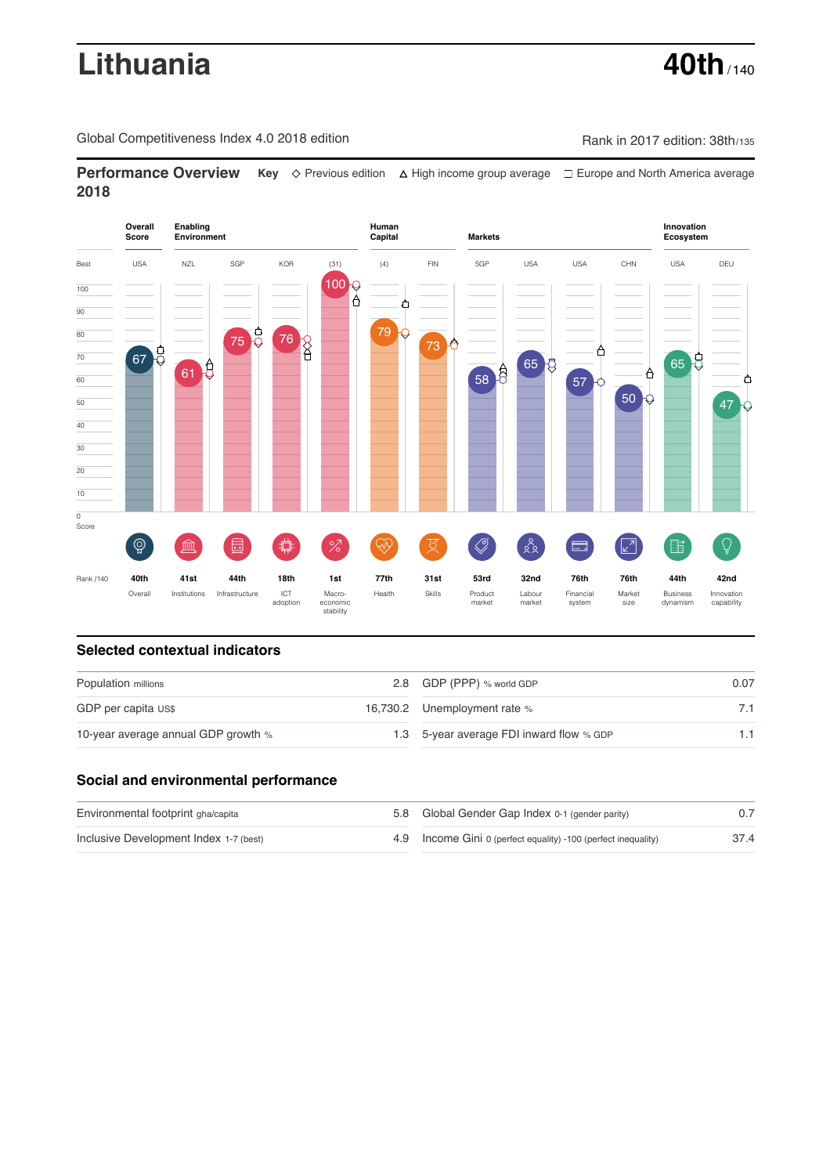# **Lithuania 40th** / 140

Global Competitiveness Index 4.0 2018 edition Company Rank in 2017 edition: 38th/135

**Performance Overview** Key  $\Diamond$  Previous edition ∆ High income group average  $\Box$  Europe and North America average **2018**



# **Selected contextual indicators**

| Population millions                 | 2.8 GDP (PPP) % world GDP                | 0.07 |
|-------------------------------------|------------------------------------------|------|
| GDP per capita US\$                 | 16,730.2 Unemployment rate %             |      |
| 10-year average annual GDP growth % | 1.3 5-year average FDI inward flow % GDP |      |

# **Social and environmental performance**

| Environmental footprint gha/capita     | 5.8 Global Gender Gap Index 0-1 (gender parity)                |      |
|----------------------------------------|----------------------------------------------------------------|------|
| Inclusive Development Index 1-7 (best) | 4.9 Income Gini 0 (perfect equality) -100 (perfect inequality) | 37.4 |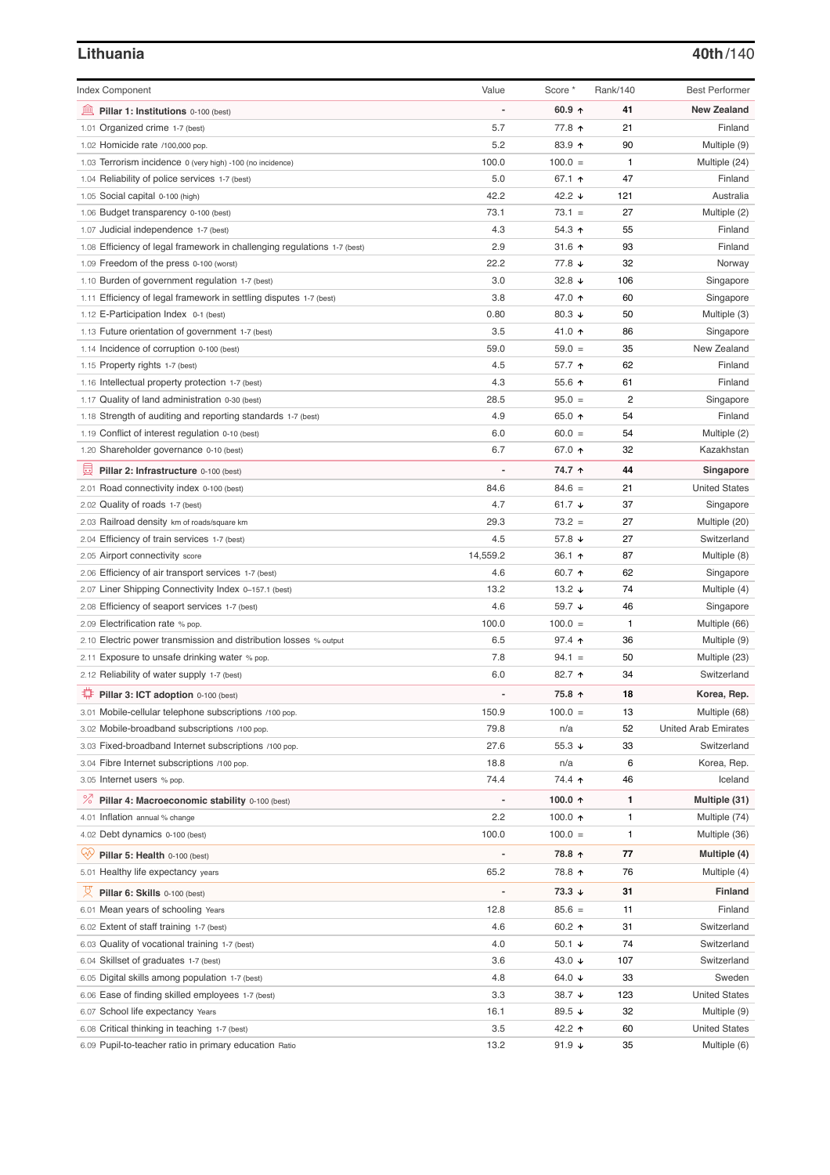### **Lithuania 40th**/140

| <b>Index Component</b>                                                                   | Value                    | Score *          | Rank/140 | <b>Best Performer</b>       |
|------------------------------------------------------------------------------------------|--------------------------|------------------|----------|-----------------------------|
| 寙<br>Pillar 1: Institutions 0-100 (best)                                                 |                          | 60.9 $\uparrow$  | 41       | <b>New Zealand</b>          |
| 1.01 Organized crime 1-7 (best)                                                          | 5.7                      | 77.8 ↑           | 21       | Finland                     |
| 1.02 Homicide rate /100,000 pop.                                                         | 5.2                      | 83.9 个           | 90       | Multiple (9)                |
| 1.03 Terrorism incidence 0 (very high) -100 (no incidence)                               | 100.0                    | $100.0 =$        | 1        | Multiple (24)               |
| 1.04 Reliability of police services 1-7 (best)                                           | 5.0                      | 67.1 ↑           | 47       | Finland                     |
| 1.05 Social capital 0-100 (high)                                                         | 42.2                     | 42.2 ↓           | 121      | Australia                   |
| 1.06 Budget transparency 0-100 (best)                                                    | 73.1                     | $73.1 =$         | 27       | Multiple (2)                |
| 1.07 Judicial independence 1-7 (best)                                                    | 4.3                      | 54.3 ↑           | 55       | Finland                     |
| 1.08 Efficiency of legal framework in challenging regulations 1-7 (best)                 | 2.9                      | 31.6 $\uparrow$  | 93       | Finland                     |
| 1.09 Freedom of the press 0-100 (worst)                                                  | 22.2                     | 77.8 ↓           | 32       | Norway                      |
| 1.10 Burden of government regulation 1-7 (best)                                          | 3.0                      | 32.8 $\sqrt{ }$  | 106      | Singapore                   |
| 1.11 Efficiency of legal framework in settling disputes 1-7 (best)                       | 3.8                      | 47.0 ↑           | 60       | Singapore                   |
| 1.12 E-Participation Index 0-1 (best)                                                    | 0.80                     | 80.3 $\sqrt{ }$  | 50       | Multiple (3)                |
| 1.13 Future orientation of government 1-7 (best)                                         | 3.5                      | 41.0 ↑           | 86       | Singapore                   |
| 1.14 Incidence of corruption 0-100 (best)                                                | 59.0                     | $59.0 =$         | 35       | New Zealand                 |
| 1.15 Property rights 1-7 (best)                                                          | 4.5                      | 57.7 ↑           | 62       | Finland                     |
| 1.16 Intellectual property protection 1-7 (best)                                         | 4.3                      | 55.6 个           | 61       | Finland                     |
| 1.17 Quality of land administration 0-30 (best)                                          | 28.5                     | $95.0 =$         | 2        | Singapore                   |
| 1.18 Strength of auditing and reporting standards 1-7 (best)                             | 4.9                      | 65.0 ↑           | 54       | Finland                     |
| 1.19 Conflict of interest regulation 0-10 (best)                                         | 6.0                      | $60.0 =$         | 54       | Multiple (2)                |
| 1.20 Shareholder governance 0-10 (best)                                                  | 6.7                      | 67.0 ↑           | 32       | Kazakhstan                  |
| 員<br>Pillar 2: Infrastructure 0-100 (best)                                               |                          | 74.7 ↑           | 44       | Singapore                   |
| 2.01 Road connectivity index 0-100 (best)                                                | 84.6                     | $84.6 =$         | 21       | <b>United States</b>        |
| 2.02 Quality of roads 1-7 (best)                                                         | 4.7                      | 61.7 $\sqrt{ }$  | 37       | Singapore                   |
| 2.03 Railroad density km of roads/square km                                              | 29.3                     | $73.2 =$         | 27       | Multiple (20)               |
| 2.04 Efficiency of train services 1-7 (best)                                             | 4.5                      | 57.8 ↓           | 27       | Switzerland                 |
| 2.05 Airport connectivity score                                                          | 14,559.2                 | 36.1 ↑           | 87       | Multiple (8)                |
| 2.06 Efficiency of air transport services 1-7 (best)                                     | 4.6                      | 60.7 ↑           | 62       | Singapore                   |
| 2.07 Liner Shipping Connectivity Index 0-157.1 (best)                                    | 13.2                     | 13.2 $\sqrt{ }$  | 74       | Multiple (4)                |
| 2.08 Efficiency of seaport services 1-7 (best)                                           | 4.6                      | 59.7 ↓           | 46       | Singapore                   |
| 2.09 Electrification rate % pop.                                                         | 100.0                    | $100.0 =$        | 1        | Multiple (66)               |
| 2.10 Electric power transmission and distribution losses % output                        | 6.5                      | $97.4$ ↑         | 36       | Multiple (9)                |
| 2.11 Exposure to unsafe drinking water % pop.                                            | 7.8                      | $94.1 =$         | 50       | Multiple (23)               |
| 2.12 Reliability of water supply 1-7 (best)                                              | 6.0                      | 82.7 ↑           | 34       | Switzerland                 |
| O<br>Pillar 3: ICT adoption 0-100 (best)                                                 |                          | 75.8 ↑           | 18       | Korea, Rep.                 |
| 3.01 Mobile-cellular telephone subscriptions /100 pop.                                   | 150.9                    | $100.0 =$        | 13       | Multiple (68)               |
| 3.02 Mobile-broadband subscriptions /100 pop.                                            | 79.8                     | n/a              | 52       | <b>United Arab Emirates</b> |
| 3.03 Fixed-broadband Internet subscriptions /100 pop.                                    | 27.6                     | $55.3 +$         | 33       | Switzerland                 |
| 3.04 Fibre Internet subscriptions /100 pop.                                              | 18.8                     | n/a              | 6        | Korea, Rep.                 |
| 3.05 Internet users % pop.                                                               | 74.4                     | 74.4 ተ           | 46       | Iceland                     |
| ℅<br>Pillar 4: Macroeconomic stability 0-100 (best)                                      | $\overline{\phantom{a}}$ | 100.0 ↑          | 1        | Multiple (31)               |
| 4.01 Inflation annual % change                                                           | 2.2                      | 100.0 $\uparrow$ | 1        | Multiple (74)               |
| 4.02 Debt dynamics 0-100 (best)                                                          | 100.0                    | $100.0 =$        | 1        | Multiple (36)               |
| Qv<br>Pillar 5: Health 0-100 (best)                                                      |                          | 78.8 ↑           | 77       | Multiple (4)                |
| 5.01 Healthy life expectancy years                                                       | 65.2                     | 78.8 ↑           | 76       | Multiple (4)                |
| 섯<br>Pillar 6: Skills 0-100 (best)                                                       | $\overline{a}$           | $73.3 +$         | 31       | Finland                     |
| 6.01 Mean years of schooling Years                                                       | 12.8                     | $85.6 =$         | 11       | Finland                     |
| 6.02 Extent of staff training 1-7 (best)                                                 | 4.6                      | 60.2 $\uparrow$  | 31       | Switzerland                 |
| 6.03 Quality of vocational training 1-7 (best)                                           | 4.0                      | 50.1 $\sqrt{ }$  | 74       | Switzerland                 |
|                                                                                          | 3.6                      | 43.0 ↓           | 107      | Switzerland                 |
| 6.04 Skillset of graduates 1-7 (best)<br>6.05 Digital skills among population 1-7 (best) | 4.8                      | 64.0 $\sqrt{ }$  | 33       | Sweden                      |
| 6.06 Ease of finding skilled employees 1-7 (best)                                        | 3.3                      | 38.7 ↓           | 123      | <b>United States</b>        |
| 6.07 School life expectancy Years                                                        | 16.1                     | 89.5 ↓           | 32       | Multiple (9)                |
| 6.08 Critical thinking in teaching 1-7 (best)                                            | 3.5                      | 42.2 ተ           | 60       | <b>United States</b>        |
| 6.09 Pupil-to-teacher ratio in primary education Ratio                                   | 13.2                     | 91.9 $\sqrt{ }$  | 35       | Multiple (6)                |